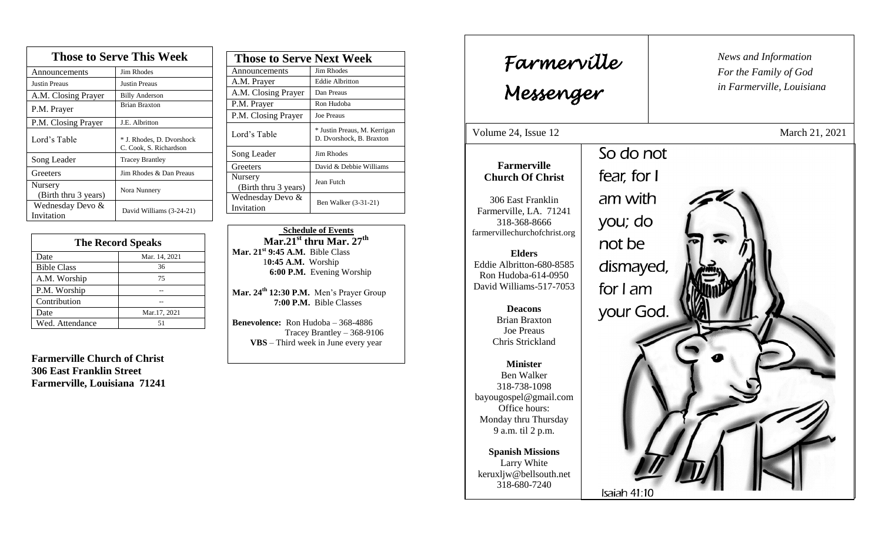| <b>Those to Serve This Week</b> |                                                     |  |
|---------------------------------|-----------------------------------------------------|--|
| Announcements                   | Jim Rhodes                                          |  |
| <b>Justin Preaus</b>            | <b>Justin Preaus</b>                                |  |
| A.M. Closing Prayer             | <b>Billy Anderson</b>                               |  |
| P.M. Prayer                     | <b>Brian Braxton</b>                                |  |
| P.M. Closing Prayer             | J.E. Albritton                                      |  |
| Lord's Table                    | * J. Rhodes, D. Dvorshock<br>C. Cook, S. Richardson |  |
| Song Leader                     | <b>Tracey Brantley</b>                              |  |
| Greeters                        | Jim Rhodes & Dan Preaus                             |  |
| Nursery<br>(Birth thru 3 years) | Nora Nunnery                                        |  |
| Wednesday Devo &<br>Invitation  | David Williams (3-24-21)                            |  |

| <b>The Record Speaks</b> |               |  |
|--------------------------|---------------|--|
| Date                     | Mar. 14, 2021 |  |
| <b>Bible Class</b>       | 36            |  |
| A.M. Worship             | 75            |  |
| P.M. Worship             |               |  |
| Contribution             |               |  |
| Date                     | Mar.17, 2021  |  |
| Wed. Attendance          | 51            |  |

**Farmerville Church of Christ 306 East Franklin Street Farmerville, Louisiana 71241**

| <b>Those to Serve Next Week</b> |                                                          |
|---------------------------------|----------------------------------------------------------|
| Announcements                   | Jim Rhodes                                               |
| A.M. Prayer                     | <b>Eddie Albritton</b>                                   |
| A.M. Closing Prayer             | Dan Preaus                                               |
| P.M. Prayer                     | Ron Hudoba                                               |
| P.M. Closing Prayer             | <b>Joe Preaus</b>                                        |
| Lord's Table                    | * Justin Preaus, M. Kerrigan<br>D. Dvorshock, B. Braxton |
| Song Leader                     | Jim Rhodes                                               |
| Greeters                        | David & Debbie Williams                                  |
| Nursery<br>(Birth thru 3 years) | Jean Futch                                               |
| Wednesday Devo &<br>Invitation  | Ben Walker (3-31-21)                                     |

 **Schedule of Events Mar.21st thru Mar. 27 th Mar. 21st 9:45 A.M.** Bible Class 1**0:45 A.M.** Worship  **6:00 P.M.** Evening Worship

**Mar. 24th 12:30 P.M.** Men's Prayer Group **7:00 P.M.** Bible Classes

**Benevolence:** Ron Hudoba – 368-4886 Tracey Brantley – 368-9106 **VBS** – Third week in June every year

| Farmerville<br>Messenger                                                                                                                                                                                                                                                                                                                                                                                  |                                                                                                | News and Information<br>For the Family of God<br>in Farmerville, Louisiana |
|-----------------------------------------------------------------------------------------------------------------------------------------------------------------------------------------------------------------------------------------------------------------------------------------------------------------------------------------------------------------------------------------------------------|------------------------------------------------------------------------------------------------|----------------------------------------------------------------------------|
| Volume 24, Issue 12                                                                                                                                                                                                                                                                                                                                                                                       |                                                                                                | March 21, 2021                                                             |
| <b>Farmerville</b><br><b>Church Of Christ</b><br>306 East Franklin<br>Farmerville, LA. 71241<br>318-368-8666<br>farmervillechurchofchrist.org<br><b>Elders</b><br>Eddie Albritton-680-8585<br>Ron Hudoba-614-0950<br>David Williams-517-7053<br><b>Deacons</b><br><b>Brian Braxton</b><br><b>Joe Preaus</b><br>Chris Strickland<br><b>Minister</b><br>Ben Walker<br>318-738-1098<br>bayougospel@gmail.com | So do not<br>fear, for I<br>am with<br>you; do<br>not be<br>dismayed,<br>for I am<br>your God. |                                                                            |
| Office hours:<br>Monday thru Thursday<br>9 a.m. til 2 p.m.<br><b>Spanish Missions</b><br>Larry White<br>keruxljw@bellsouth.net<br>318-680-7240                                                                                                                                                                                                                                                            | Isaiah 41:10                                                                                   |                                                                            |